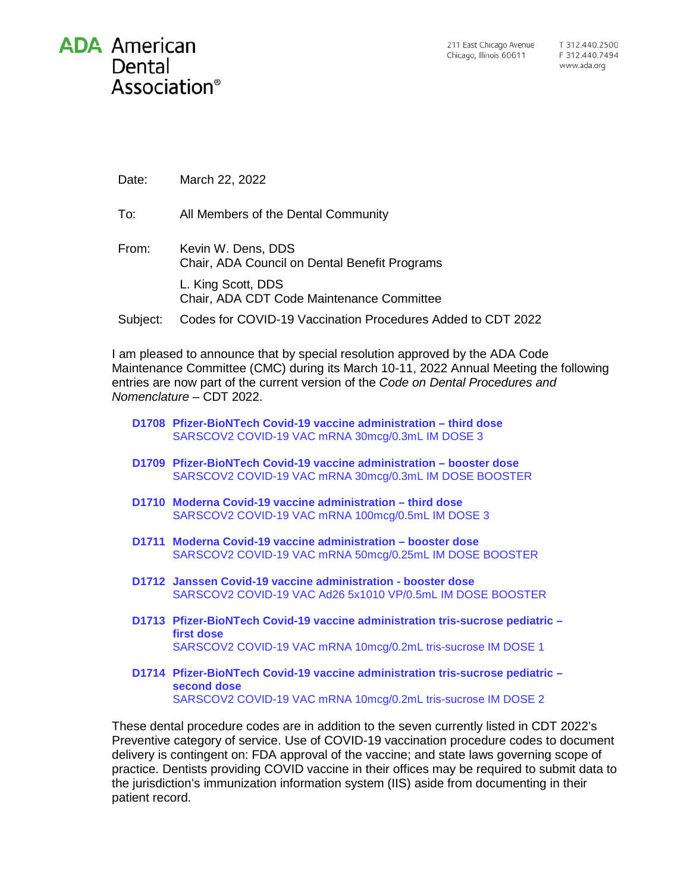Date: March 22, 2022

- To: All Members of the Dental Community
- From: Kevin W. Dens, DDS Chair, ADA Council on Dental Benefit Programs L. King Scott, DDS Chair, ADA CDT Code Maintenance Committee
- Subject: Codes for COVID-19 Vaccination Procedures Added to CDT 2022

I am pleased to announce that by special resolution approved by the ADA Code Maintenance Committee (CMC) during its March 10-11, 2022 Annual Meeting the following entries are now part of the current version of the *Code on Dental Procedures and Nomenclature* – CDT 2022.

- **D1708 Pfizer-BioNTech Covid-19 vaccine administration – third dose** SARSCOV2 COVID-19 VAC mRNA 30mcg/0.3mL IM DOSE 3
- **D1709 Pfizer-BioNTech Covid-19 vaccine administration – booster dose** SARSCOV2 COVID-19 VAC mRNA 30mcg/0.3mL IM DOSE BOOSTER
- **D1710 Moderna Covid-19 vaccine administration – third dose** SARSCOV2 COVID-19 VAC mRNA 100mcg/0.5mL IM DOSE 3
- **D1711 Moderna Covid-19 vaccine administration – booster dose** SARSCOV2 COVID-19 VAC mRNA 50mcg/0.25mL IM DOSE BOOSTER
- **D1712 Janssen Covid-19 vaccine administration - booster dose** SARSCOV2 COVID-19 VAC Ad26 5x1010 VP/0.5mL IM DOSE BOOSTER
- **D1713 Pfizer-BioNTech Covid-19 vaccine administration tris-sucrose pediatric – first dose** SARSCOV2 COVID-19 VAC mRNA 10mcg/0.2mL tris-sucrose IM DOSE 1
- **D1714 Pfizer-BioNTech Covid-19 vaccine administration tris-sucrose pediatric – second dose** SARSCOV2 COVID-19 VAC mRNA 10mcg/0.2mL tris-sucrose IM DOSE 2

These dental procedure codes are in addition to the seven currently listed in CDT 2022's Preventive category of service. Use of COVID-19 vaccination procedure codes to document delivery is contingent on: FDA approval of the vaccine; and state laws governing scope of practice. Dentists providing COVID vaccine in their offices may be required to submit data to the jurisdiction's immunization information system (IIS) aside from documenting in their patient record.